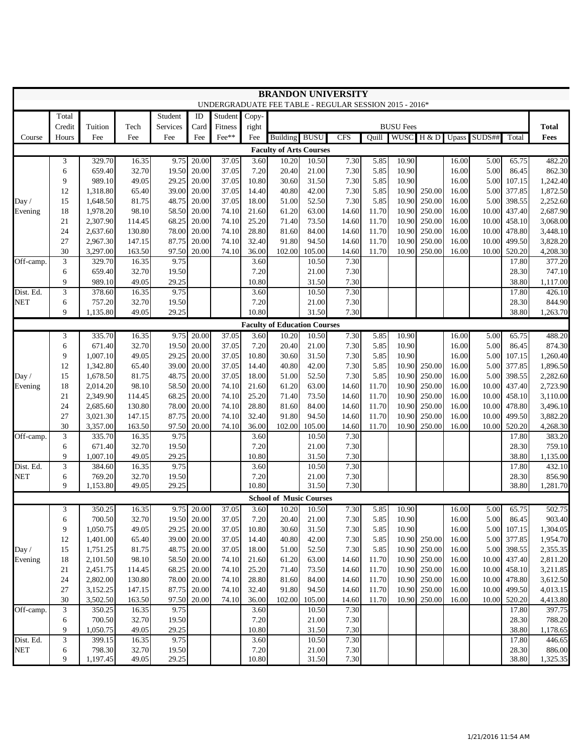| <b>BRANDON UNIVERSITY</b><br>UNDERGRADUATE FEE TABLE - REGULAR SESSION 2015 - 2016* |                                            |                      |                  |                 |                |                |                |                                         |                |                |                |                  |                  |                |                |                  |                      |
|-------------------------------------------------------------------------------------|--------------------------------------------|----------------------|------------------|-----------------|----------------|----------------|----------------|-----------------------------------------|----------------|----------------|----------------|------------------|------------------|----------------|----------------|------------------|----------------------|
|                                                                                     | Total<br>Student<br>ID<br>Student<br>Copy- |                      |                  |                 |                |                |                |                                         |                |                |                |                  |                  |                |                |                  |                      |
|                                                                                     | Credit                                     | Tuition              | Tech             | <b>Services</b> | Card           | Fitness        | right          |                                         |                |                |                | <b>BUSU Fees</b> |                  |                |                |                  | <b>Total</b>         |
| Course                                                                              | Hours                                      | Fee                  | Fee              | Fee             | Fee            | Fee**          | Fee            | Building                                | <b>BUSU</b>    | <b>CFS</b>     | Ouill          | <b>WUSC</b>      | H & D            |                | Upass SUDS##   | Total            | Fees                 |
| <b>Faculty of Arts Courses</b>                                                      |                                            |                      |                  |                 |                |                |                |                                         |                |                |                |                  |                  |                |                |                  |                      |
|                                                                                     | 3                                          | 329.70               | 16.35            | 9.75            | 20.00          | 37.05          | 3.60           | 10.20                                   | 10.50          | 7.30           | 5.85           | 10.90            |                  | 16.00          | 5.00           | 65.75            | 482.20               |
|                                                                                     | 6                                          | 659.40               | 32.70            | 19.50           | 20.00          | 37.05          | 7.20           | 20.40                                   | 21.00          | 7.30           | 5.85           | 10.90            |                  | 16.00          | 5.00           | 86.45            | 862.30               |
|                                                                                     | 9                                          | 989.10               | 49.05            | 29.25           | 20.00          | 37.05          | 10.80          | 30.60                                   | 31.50          | 7.30           | 5.85           | 10.90            |                  | 16.00          | 5.00           | 107.15           | 1,242.40             |
|                                                                                     | 12                                         | 1,318.80             | 65.40            | 39.00           | 20.00          | 37.05          | 14.40          | 40.80                                   | 42.00          | 7.30           | 5.85           | 10.90            | 250.00           | 16.00          | 5.00           | 377.85           | 1,872.50             |
| Day /                                                                               | 15                                         | 1,648.50             | 81.75            | 48.75           | 20.00          | 37.05          | 18.00          | 51.00                                   | 52.50          | 7.30           | 5.85           | 10.90            | 250.00           | 16.00          | 5.00           | 398.55           | 2,252.60             |
| Evening                                                                             | 18                                         | 1,978.20             | 98.10            | 58.50           | 20.00          | 74.10          | 21.60          | 61.20                                   | 63.00          | 14.60          | 11.70          | 10.90            | 250.00           | 16.00          | 10.00          | 437.40           | 2,687.90             |
|                                                                                     | 21<br>24                                   | 2,307.90<br>2,637.60 | 114.45<br>130.80 | 68.25<br>78.00  | 20.00<br>20.00 | 74.10<br>74.10 | 25.20<br>28.80 | 71.40<br>81.60                          | 73.50<br>84.00 | 14.60<br>14.60 | 11.70<br>11.70 | 10.90<br>10.90   | 250.00<br>250.00 | 16.00<br>16.00 | 10.00<br>10.00 | 458.10<br>478.80 | 3,068.00<br>3,448.10 |
|                                                                                     | 27                                         | 2,967.30             | 147.15           | 87.75           | 20.00          | 74.10          | 32.40          | 91.80                                   | 94.50          | 14.60          | 11.70          | 10.90            | 250.00           | 16.00          | 10.00          | 499.50           | 3,828.20             |
|                                                                                     | 30                                         | 3,297.00             | 163.50           | 97.50           | 20.00          | 74.10          | 36.00          | 102.00                                  | 105.00         | 14.60          | 11.70          | 10.90            | 250.00           | 16.00          | 10.00          | 520.20           | 4,208.30             |
| Off-camp.                                                                           | 3                                          | 329.70               | 16.35            | 9.75            |                |                | 3.60           |                                         | 10.50          | 7.30           |                |                  |                  |                |                | 17.80            | 377.20               |
|                                                                                     | 6                                          | 659.40               | 32.70            | 19.50           |                |                | 7.20           |                                         | 21.00          | 7.30           |                |                  |                  |                |                | 28.30            | 747.10               |
|                                                                                     | 9                                          | 989.10               | 49.05            | 29.25           |                |                | 10.80          |                                         | 31.50          | 7.30           |                |                  |                  |                |                | 38.80            | 1,117.00             |
| Dist. Ed.                                                                           | 3                                          | 378.60               | 16.35            | 9.75            |                |                | 3.60           |                                         | 10.50          | 7.30           |                |                  |                  |                |                | 17.80            | 426.10               |
| <b>NET</b>                                                                          | 6                                          | 757.20               | 32.70            | 19.50           |                |                | 7.20           |                                         | 21.00          | 7.30           |                |                  |                  |                |                | 28.30            | 844.90               |
|                                                                                     | 9                                          | 1,135.80             | 49.05            | 29.25           |                |                | 10.80          |                                         | 31.50          | 7.30           |                |                  |                  |                |                | 38.80            | 1,263.70             |
| <b>Faculty of Education Courses</b>                                                 |                                            |                      |                  |                 |                |                |                |                                         |                |                |                |                  |                  |                |                |                  |                      |
|                                                                                     | 3                                          | 335.70               | 16.35            | 9.75            | 20.00          | 37.05          | 3.60           | 10.20                                   | 10.50          | 7.30           | 5.85           | 10.90            |                  | 16.00          | 5.00           | 65.75            | 488.20               |
|                                                                                     | 6                                          | 671.40               | 32.70            | 19.50           | 20.00          | 37.05          | 7.20           | 20.40                                   | 21.00          | 7.30           | 5.85           | 10.90            |                  | 16.00          | 5.00           | 86.45            | 874.30               |
|                                                                                     | 9                                          | 1,007.10             | 49.05            | 29.25           | 20.00          | 37.05          | 10.80          | 30.60                                   | 31.50          | 7.30           | 5.85           | 10.90            |                  | 16.00          | 5.00           | 107.15           | 1,260.40             |
|                                                                                     | 12                                         | 1,342.80             | 65.40            | 39.00           | 20.00          | 37.05          | 14.40          | 40.80                                   | 42.00          | 7.30           | 5.85           | 10.90            | 250.00           | 16.00          | 5.00           | 377.85           | 1,896.50             |
| Day /<br>Evening                                                                    | 15<br>18                                   | 1,678.50<br>2,014.20 | 81.75<br>98.10   | 48.75<br>58.50  | 20.00<br>20.00 | 37.05<br>74.10 | 18.00<br>21.60 | 51.00<br>61.20                          | 52.50<br>63.00 | 7.30<br>14.60  | 5.85<br>11.70  | 10.90<br>10.90   | 250.00<br>250.00 | 16.00<br>16.00 | 5.00<br>10.00  | 398.55<br>437.40 | 2,282.60<br>2,723.90 |
|                                                                                     | 21                                         | 2,349.90             | 114.45           | 68.25           | 20.00          | 74.10          | 25.20          | 71.40                                   | 73.50          | 14.60          | 11.70          | 10.90            | 250.00           | 16.00          | 10.00          | 458.10           | 3,110.00             |
|                                                                                     | 24                                         | 2,685.60             | 130.80           | 78.00           | 20.00          | 74.10          | 28.80          | 81.60                                   | 84.00          | 14.60          | 11.70          | 10.90            | 250.00           | 16.00          | 10.00          | 478.80           | 3,496.10             |
|                                                                                     | 27                                         | 3,021.30             | 147.15           | 87.75           | 20.00          | 74.10          | 32.40          | 91.80                                   | 94.50          | 14.60          | 11.70          | 10.90            | 250.00           | 16.00          | 10.00          | 499.50           | 3,882.20             |
|                                                                                     | 30                                         | 3,357.00             | 163.50           | 97.50           | 20.00          | 74.10          | 36.00          | 102.00                                  | 105.00         | 14.60          | 11.70          | 10.90            | 250.00           | 16.00          | 10.00          | 520.20           | 4,268.30             |
| Off-camp.                                                                           | 3                                          | 335.70               | 16.35            | 9.75            |                |                | 3.60           |                                         | 10.50          | 7.30           |                |                  |                  |                |                | 17.80            | 383.20               |
|                                                                                     | 6                                          | 671.40               | 32.70            | 19.50           |                |                | 7.20           |                                         | 21.00          | 7.30           |                |                  |                  |                |                | 28.30            | 759.10               |
|                                                                                     | 9                                          | 1,007.10             | 49.05            | 29.25           |                |                | 10.80          |                                         | 31.50          | 7.30           |                |                  |                  |                |                | 38.80            | 1,135.00             |
| Dist. Ed.                                                                           | 3                                          | 384.60               | 16.35            | 9.75            |                |                | 3.60           |                                         | 10.50          | 7.30           |                |                  |                  |                |                | 17.80            | 432.10               |
| <b>NET</b>                                                                          | 6<br>9                                     | 769.20<br>1,153.80   | 32.70<br>49.05   | 19.50<br>29.25  |                |                | 7.20<br>10.80  |                                         | 21.00<br>31.50 | 7.30<br>7.30   |                |                  |                  |                |                | 28.30<br>38.80   | 856.90<br>1,281.70   |
|                                                                                     |                                            |                      |                  |                 |                |                |                |                                         |                |                |                |                  |                  |                |                |                  |                      |
|                                                                                     | 3                                          | 350.25               | 16.35            |                 | 9.75 20.00     | 37.05          | 3.60           | <b>School of Music Courses</b><br>10.20 | 10.50          | 7.30           | 5.85           | 10.90            |                  | 16.00          | 5.00           | 65.75            | 502.75               |
|                                                                                     | 6                                          | 700.50               | 32.70            |                 | 19.50 20.00    | 37.05          | 7.20           | 20.40                                   | 21.00          | 7.30           | 5.85           | 10.90            |                  | 16.00          | 5.00           | 86.45            | 903.40               |
|                                                                                     | 9                                          | 1,050.75             | 49.05            |                 | 29.25 20.00    | 37.05          | 10.80          | 30.60                                   | 31.50          | 7.30           | 5.85           | 10.90            |                  | 16.00          | 5.00           | 107.15           | 1,304.05             |
|                                                                                     | 12                                         | 1,401.00             | 65.40            |                 | 39.00 20.00    | 37.05          | 14.40          | 40.80                                   | 42.00          | 7.30           | 5.85           |                  | 10.90 250.00     | 16.00          |                | 5.00 377.85      | 1,954.70             |
| Day /                                                                               | 15                                         | 1,751.25             | 81.75            |                 | 48.75 20.00    | 37.05          | 18.00          | 51.00                                   | 52.50          | 7.30           | 5.85           | 10.90            | 250.00           | 16.00          |                | 5.00 398.55      | 2,355.35             |
| Evening                                                                             | 18                                         | 2,101.50             | 98.10            |                 | 58.50 20.00    | 74.10          | 21.60          | 61.20                                   | 63.00          | 14.60          | 11.70          | 10.90            | 250.00           | 16.00          |                | 10.00 437.40     | 2,811.20             |
|                                                                                     | 21                                         | 2,451.75             | 114.45           | 68.25           | 20.00          | 74.10          | 25.20          | 71.40                                   | 73.50          | 14.60          | 11.70          | 10.90            | 250.00           | 16.00          |                | 10.00 458.10     | 3,211.85             |
|                                                                                     | 24                                         | 2,802.00             | 130.80           |                 | 78.00 20.00    | 74.10          | 28.80          | 81.60                                   | 84.00          | 14.60          | 11.70          | 10.90            | 250.00           | 16.00          |                | 10.00 478.80     | 3,612.50             |
|                                                                                     | 27                                         | 3,152.25             | 147.15           | 87.75           | 20.00          | 74.10          | 32.40          | 91.80                                   | 94.50          | 14.60          | 11.70          | 10.90            | 250.00           | 16.00          | 10.00          | 499.50           | 4,013.15             |
|                                                                                     | 30                                         | 3,502.50             | 163.50           |                 | 97.50 20.00    | 74.10          | 36.00          | 102.00                                  | 105.00         | 14.60          | 11.70          |                  | 10.90 250.00     | 16.00          |                | 10.00 520.20     | 4,413.80             |
| Off-camp.                                                                           | $\mathfrak{Z}$                             | 350.25               | 16.35            | 9.75            |                |                | 3.60           |                                         | 10.50          | 7.30           |                |                  |                  |                |                | 17.80            | 397.75               |
|                                                                                     | 6<br>9                                     | 700.50<br>1,050.75   | 32.70            | 19.50<br>29.25  |                |                | 7.20           |                                         | 21.00<br>31.50 | 7.30<br>7.30   |                |                  |                  |                |                | 28.30<br>38.80   | 788.20               |
| Dist. Ed.                                                                           | $\ensuremath{\mathfrak{Z}}$                | 399.15               | 49.05<br>16.35   | 9.75            |                |                | 10.80<br>3.60  |                                         | 10.50          | 7.30           |                |                  |                  |                |                | 17.80            | 1,178.65<br>446.65   |
| <b>NET</b>                                                                          | 6                                          | 798.30               | 32.70            | 19.50           |                |                | 7.20           |                                         | 21.00          | 7.30           |                |                  |                  |                |                | 28.30            | 886.00               |
|                                                                                     | 9                                          | 1,197.45             | 49.05            | 29.25           |                |                | 10.80          |                                         | 31.50          | 7.30           |                |                  |                  |                |                | 38.80            | 1,325.35             |